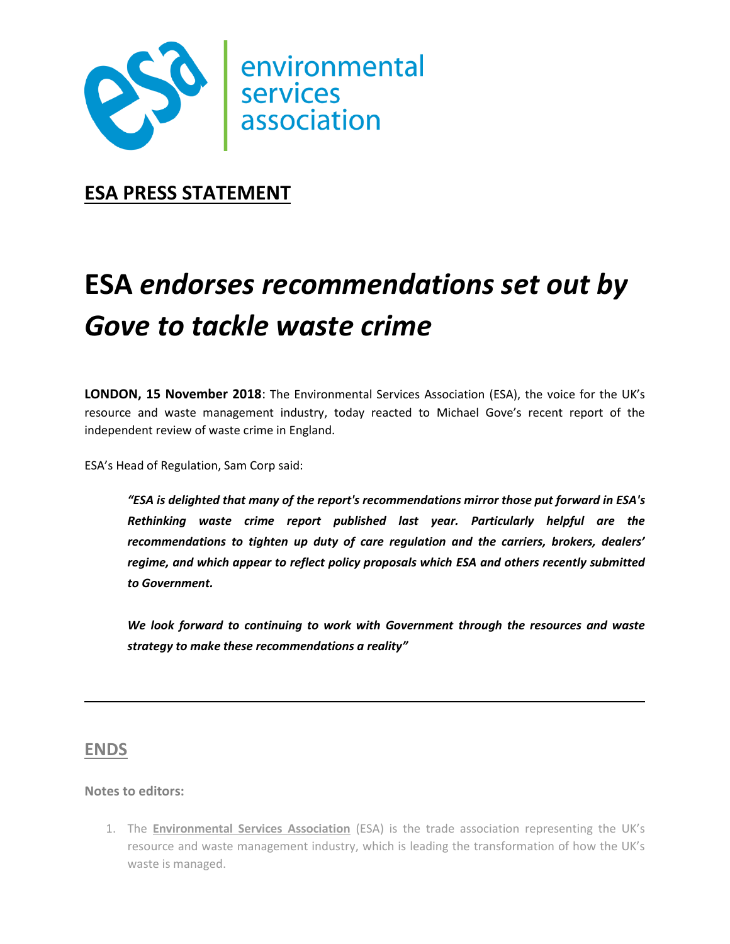

**ESA PRESS STATEMENT**

## **ESA** *endorses recommendations set out by Gove to tackle waste crime*

**LONDON, 15 November 2018**: The Environmental Services Association (ESA), the voice for the UK's resource and waste management industry, today reacted to Michael Gove's recent report of the independent review of waste crime in England.

ESA's Head of Regulation, Sam Corp said:

*"ESA is delighted that many of the report's recommendations mirror those put forward in ESA's Rethinking waste crime report published last year. Particularly helpful are the recommendations to tighten up duty of care regulation and the carriers, brokers, dealers' regime, and which appear to reflect policy proposals which ESA and others recently submitted to Government.*

*We look forward to continuing to work with Government through the resources and waste strategy to make these recommendations a reality"*

## **ENDS**

## **Notes to editors:**

1. The **Environmental Services Association** (ESA) is the trade association representing the UK's resource and waste management industry, which is leading the transformation of how the UK's waste is managed.